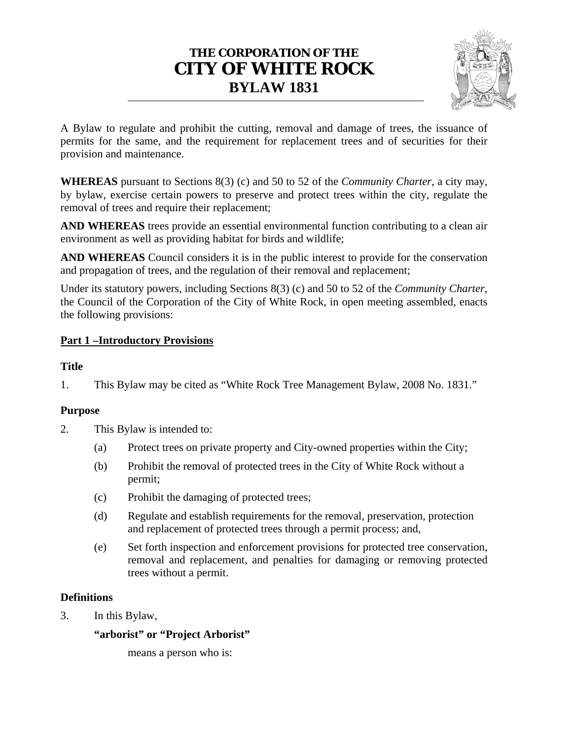# CONSOLIDATED FOR CONVENIENCE ONLY

This Bylaw is a consolidation of the bylaws amending "White Rock Tree Management Bylaw 2008 No 1831" Efforts are made to ensure that this consolidation is current: however accuracy and completeness cannot be guaranteed Ori bylaws should be consulted for all interpretations and applications of the bylaw regarding this subject.

Consolidation includes:

- Bylaw 2073 (December 18, 2014)
- Bylaw 2161 (September 12, 2016)

- Bylaw 2215 (October 23, 2017)

# **THE CORPORATION OF THE CITY OF WHITE ROCK BYLAW 1831**



A Bylaw to regulate and prohibit the cutting, removal and damage of trees, the issuance of permits for the same, and the requirement for replacement trees and of securities for their provision and maintenance.

**WHEREAS** pursuant to Sections 8(3) (c) and 50 to 52 of the *Community Charter*, a city may, by bylaw, exercise certain powers to preserve and protect trees within the city, regulate the removal of trees and require their replacement;

**AND WHEREAS** trees provide an essential environmental function contributing to a clean air environment as well as providing habitat for birds and wildlife;

**AND WHEREAS** Council considers it is in the public interest to provide for the conservation and propagation of trees, and the regulation of their removal and replacement;

Under its statutory powers, including Sections 8(3) (c) and 50 to 52 of the *Community Charter*, the Council of the Corporation of the City of White Rock, in open meeting assembled, enacts the following provisions:

# **Part 1 –Introductory Provisions**

### **Title**

1. This Bylaw may be cited as "White Rock Tree Management Bylaw, 2008 No. 1831."

# **Purpose**

- 2. This Bylaw is intended to:
	- (a) Protect trees on private property and City-owned properties within the City;
	- (b) Prohibit the removal of protected trees in the City of White Rock without a permit;
	- (c) Prohibit the damaging of protected trees;
	- (d) Regulate and establish requirements for the removal, preservation, protection and replacement of protected trees through a permit process; and,
	- (e) Set forth inspection and enforcement provisions for protected tree conservation, removal and replacement, and penalties for damaging or removing protected trees without a permit.

# **Definitions**

3. In this Bylaw,

**"arborist" or "Project Arborist"**

means a person who is: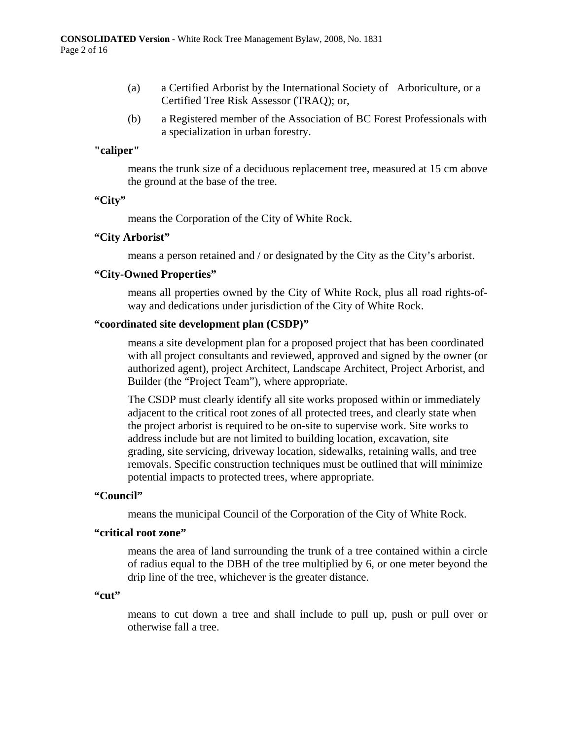- (a) a Certified Arborist by the International Society of Arboriculture, or a Certified Tree Risk Assessor (TRAQ); or,
- (b) a Registered member of the Association of BC Forest Professionals with a specialization in urban forestry.

# **"caliper"**

 means the trunk size of a deciduous replacement tree, measured at 15 cm above the ground at the base of the tree.

#### **"City"**

means the Corporation of the City of White Rock.

### **"City Arborist"**

means a person retained and / or designated by the City as the City's arborist.

### **"City-Owned Properties"**

means all properties owned by the City of White Rock, plus all road rights-ofway and dedications under jurisdiction of the City of White Rock.

### **"coordinated site development plan (CSDP)"**

means a site development plan for a proposed project that has been coordinated with all project consultants and reviewed, approved and signed by the owner (or authorized agent), project Architect, Landscape Architect, Project Arborist, and Builder (the "Project Team"), where appropriate.

The CSDP must clearly identify all site works proposed within or immediately adjacent to the critical root zones of all protected trees, and clearly state when the project arborist is required to be on-site to supervise work. Site works to address include but are not limited to building location, excavation, site grading, site servicing, driveway location, sidewalks, retaining walls, and tree removals. Specific construction techniques must be outlined that will minimize potential impacts to protected trees, where appropriate.

#### **"Council"**

means the municipal Council of the Corporation of the City of White Rock.

#### **"critical root zone"**

means the area of land surrounding the trunk of a tree contained within a circle of radius equal to the DBH of the tree multiplied by 6, or one meter beyond the drip line of the tree, whichever is the greater distance.

#### **"cut"**

 means to cut down a tree and shall include to pull up, push or pull over or otherwise fall a tree.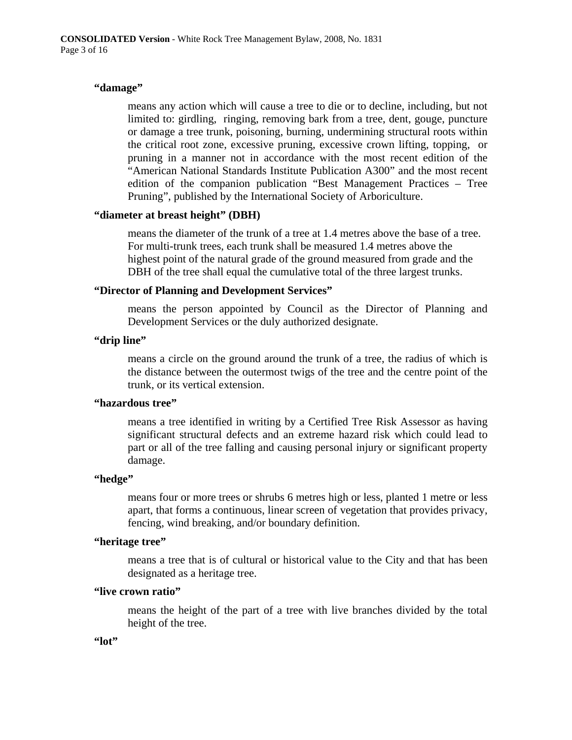# **"damage"**

means any action which will cause a tree to die or to decline, including, but not limited to: girdling, ringing, removing bark from a tree, dent, gouge, puncture or damage a tree trunk, poisoning, burning, undermining structural roots within the critical root zone, excessive pruning, excessive crown lifting, topping, or pruning in a manner not in accordance with the most recent edition of the "American National Standards Institute Publication A300" and the most recent edition of the companion publication "Best Management Practices – Tree Pruning", published by the International Society of Arboriculture.

# **"diameter at breast height" (DBH)**

 means the diameter of the trunk of a tree at 1.4 metres above the base of a tree. For multi-trunk trees, each trunk shall be measured 1.4 metres above the highest point of the natural grade of the ground measured from grade and the DBH of the tree shall equal the cumulative total of the three largest trunks.

# **"Director of Planning and Development Services"**

means the person appointed by Council as the Director of Planning and Development Services or the duly authorized designate.

# **"drip line"**

means a circle on the ground around the trunk of a tree, the radius of which is the distance between the outermost twigs of the tree and the centre point of the trunk, or its vertical extension.

# **"hazardous tree"**

means a tree identified in writing by a Certified Tree Risk Assessor as having significant structural defects and an extreme hazard risk which could lead to part or all of the tree falling and causing personal injury or significant property damage.

#### **"hedge"**

means four or more trees or shrubs 6 metres high or less, planted 1 metre or less apart, that forms a continuous, linear screen of vegetation that provides privacy, fencing, wind breaking, and/or boundary definition.

# **"heritage tree"**

means a tree that is of cultural or historical value to the City and that has been designated as a heritage tree.

### **"live crown ratio"**

means the height of the part of a tree with live branches divided by the total height of the tree.

#### **"lot"**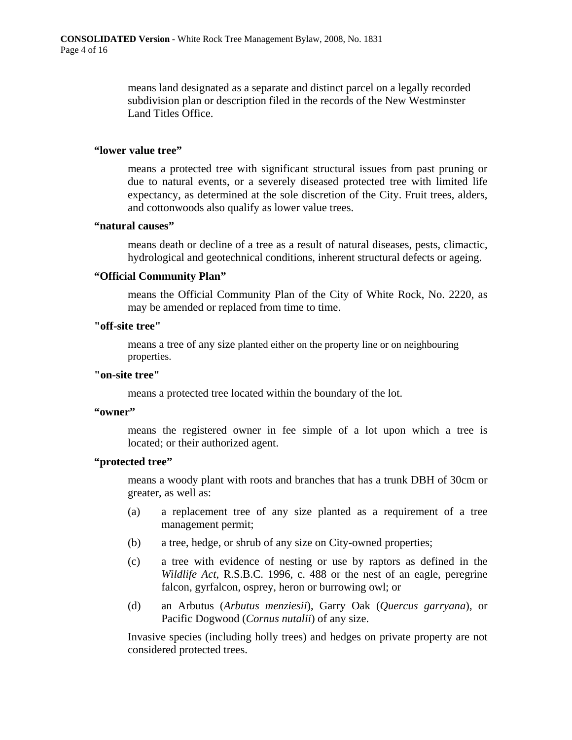means land designated as a separate and distinct parcel on a legally recorded subdivision plan or description filed in the records of the New Westminster Land Titles Office.

### **"lower value tree"**

means a protected tree with significant structural issues from past pruning or due to natural events, or a severely diseased protected tree with limited life expectancy, as determined at the sole discretion of the City. Fruit trees, alders, and cottonwoods also qualify as lower value trees.

### **"natural causes"**

means death or decline of a tree as a result of natural diseases, pests, climactic, hydrological and geotechnical conditions, inherent structural defects or ageing.

# **"Official Community Plan"**

 means the Official Community Plan of the City of White Rock, No. 2220, as may be amended or replaced from time to time.

# **"off-site tree"**

means a tree of any size planted either on the property line or on neighbouring properties.

### **"on-site tree"**

means a protected tree located within the boundary of the lot.

### **"owner"**

 means the registered owner in fee simple of a lot upon which a tree is located; or their authorized agent.

# **"protected tree"**

means a woody plant with roots and branches that has a trunk DBH of 30cm or greater, as well as:

- (a) a replacement tree of any size planted as a requirement of a tree management permit;
- (b) a tree, hedge, or shrub of any size on City-owned properties;
- (c) a tree with evidence of nesting or use by raptors as defined in the *Wildlife Act*, R.S.B.C. 1996, c. 488 or the nest of an eagle, peregrine falcon, gyrfalcon, osprey, heron or burrowing owl; or
- (d) an Arbutus (*Arbutus menziesii*), Garry Oak (*Quercus garryana*), or Pacific Dogwood (*Cornus nutalii*) of any size.

Invasive species (including holly trees) and hedges on private property are not considered protected trees.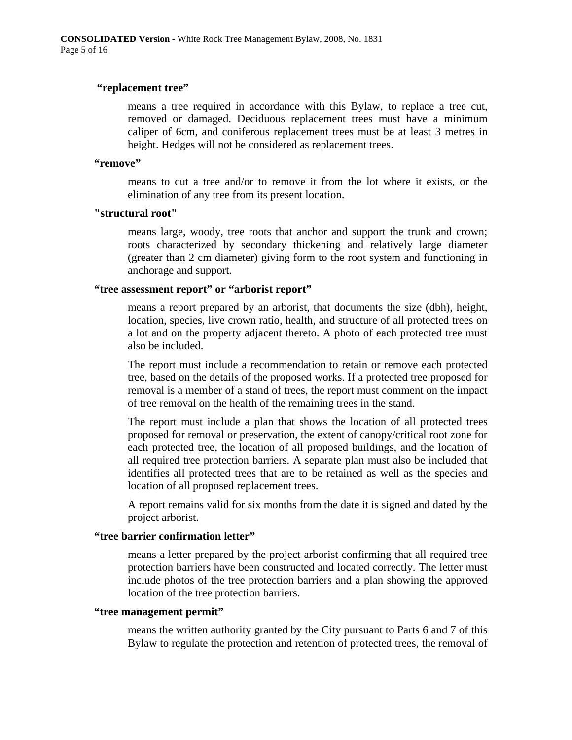### **"replacement tree"**

means a tree required in accordance with this Bylaw, to replace a tree cut, removed or damaged. Deciduous replacement trees must have a minimum caliper of 6cm, and coniferous replacement trees must be at least 3 metres in height. Hedges will not be considered as replacement trees.

#### **"remove"**

means to cut a tree and/or to remove it from the lot where it exists, or the elimination of any tree from its present location.

### **"structural root"**

means large, woody, tree roots that anchor and support the trunk and crown; roots characterized by secondary thickening and relatively large diameter (greater than 2 cm diameter) giving form to the root system and functioning in anchorage and support.

### **"tree assessment report" or "arborist report"**

means a report prepared by an arborist, that documents the size (dbh), height, location, species, live crown ratio, health, and structure of all protected trees on a lot and on the property adjacent thereto. A photo of each protected tree must also be included.

The report must include a recommendation to retain or remove each protected tree, based on the details of the proposed works. If a protected tree proposed for removal is a member of a stand of trees, the report must comment on the impact of tree removal on the health of the remaining trees in the stand.

The report must include a plan that shows the location of all protected trees proposed for removal or preservation, the extent of canopy/critical root zone for each protected tree, the location of all proposed buildings, and the location of all required tree protection barriers. A separate plan must also be included that identifies all protected trees that are to be retained as well as the species and location of all proposed replacement trees.

A report remains valid for six months from the date it is signed and dated by the project arborist.

### **"tree barrier confirmation letter"**

means a letter prepared by the project arborist confirming that all required tree protection barriers have been constructed and located correctly. The letter must include photos of the tree protection barriers and a plan showing the approved location of the tree protection barriers.

#### **"tree management permit"**

means the written authority granted by the City pursuant to Parts 6 and 7 of this Bylaw to regulate the protection and retention of protected trees, the removal of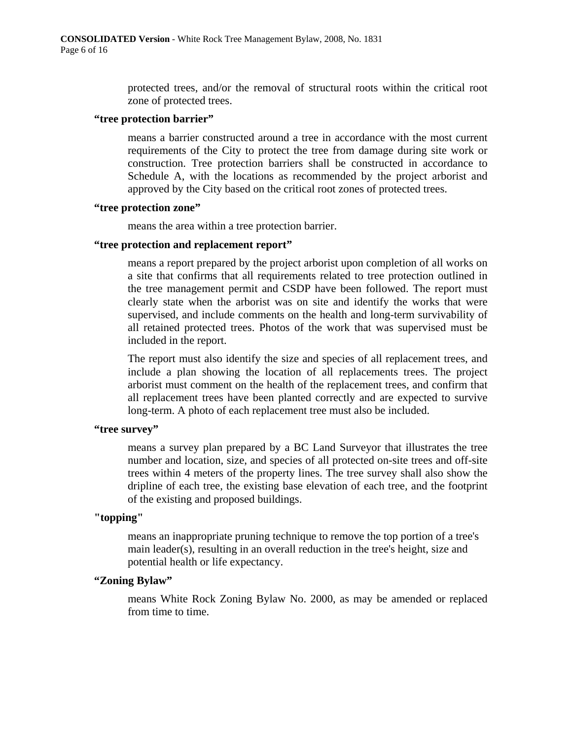protected trees, and/or the removal of structural roots within the critical root zone of protected trees.

#### **"tree protection barrier"**

means a barrier constructed around a tree in accordance with the most current requirements of the City to protect the tree from damage during site work or construction. Tree protection barriers shall be constructed in accordance to Schedule A, with the locations as recommended by the project arborist and approved by the City based on the critical root zones of protected trees.

### **"tree protection zone"**

means the area within a tree protection barrier.

# **"tree protection and replacement report"**

means a report prepared by the project arborist upon completion of all works on a site that confirms that all requirements related to tree protection outlined in the tree management permit and CSDP have been followed. The report must clearly state when the arborist was on site and identify the works that were supervised, and include comments on the health and long-term survivability of all retained protected trees. Photos of the work that was supervised must be included in the report.

The report must also identify the size and species of all replacement trees, and include a plan showing the location of all replacements trees. The project arborist must comment on the health of the replacement trees, and confirm that all replacement trees have been planted correctly and are expected to survive long-term. A photo of each replacement tree must also be included.

#### **"tree survey"**

means a survey plan prepared by a BC Land Surveyor that illustrates the tree number and location, size, and species of all protected on-site trees and off-site trees within 4 meters of the property lines. The tree survey shall also show the dripline of each tree, the existing base elevation of each tree, and the footprint of the existing and proposed buildings.

# **"topping"**

means an inappropriate pruning technique to remove the top portion of a tree's main leader(s), resulting in an overall reduction in the tree's height, size and potential health or life expectancy.

# **"Zoning Bylaw"**

means White Rock Zoning Bylaw No. 2000, as may be amended or replaced from time to time.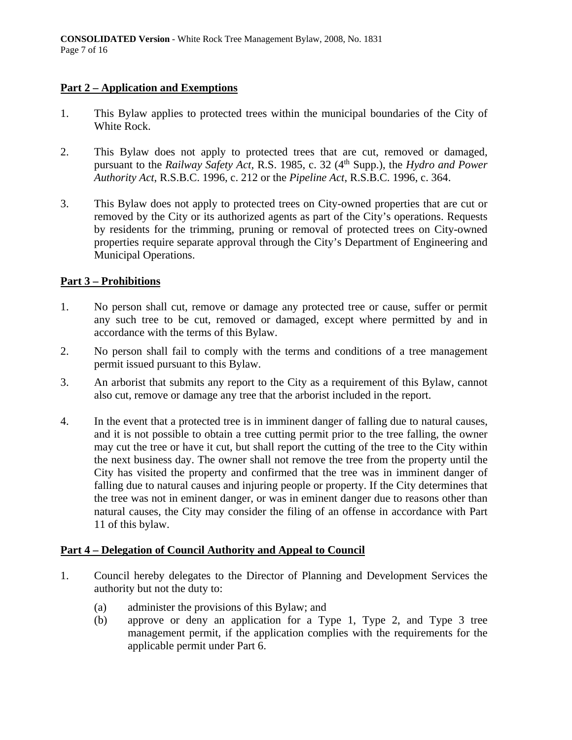# **Part 2 – Application and Exemptions**

- 1. This Bylaw applies to protected trees within the municipal boundaries of the City of White Rock.
- 2. This Bylaw does not apply to protected trees that are cut, removed or damaged, pursuant to the *Railway Safety Act*, R.S. 1985, c. 32 (4<sup>th</sup> Supp.), the *Hydro and Power Authority Act*, R.S.B.C. 1996, c. 212 or the *Pipeline Act*, R.S.B.C. 1996, c. 364.
- 3. This Bylaw does not apply to protected trees on City-owned properties that are cut or removed by the City or its authorized agents as part of the City's operations. Requests by residents for the trimming, pruning or removal of protected trees on City-owned properties require separate approval through the City's Department of Engineering and Municipal Operations.

# **Part 3 – Prohibitions**

- 1. No person shall cut, remove or damage any protected tree or cause, suffer or permit any such tree to be cut, removed or damaged, except where permitted by and in accordance with the terms of this Bylaw.
- 2. No person shall fail to comply with the terms and conditions of a tree management permit issued pursuant to this Bylaw.
- 3. An arborist that submits any report to the City as a requirement of this Bylaw, cannot also cut, remove or damage any tree that the arborist included in the report.
- 4. In the event that a protected tree is in imminent danger of falling due to natural causes, and it is not possible to obtain a tree cutting permit prior to the tree falling, the owner may cut the tree or have it cut, but shall report the cutting of the tree to the City within the next business day. The owner shall not remove the tree from the property until the City has visited the property and confirmed that the tree was in imminent danger of falling due to natural causes and injuring people or property. If the City determines that the tree was not in eminent danger, or was in eminent danger due to reasons other than natural causes, the City may consider the filing of an offense in accordance with Part 11 of this bylaw.

# **Part 4 – Delegation of Council Authority and Appeal to Council**

- 1. Council hereby delegates to the Director of Planning and Development Services the authority but not the duty to:
	- (a) administer the provisions of this Bylaw; and
	- (b) approve or deny an application for a Type 1, Type 2, and Type 3 tree management permit, if the application complies with the requirements for the applicable permit under Part 6.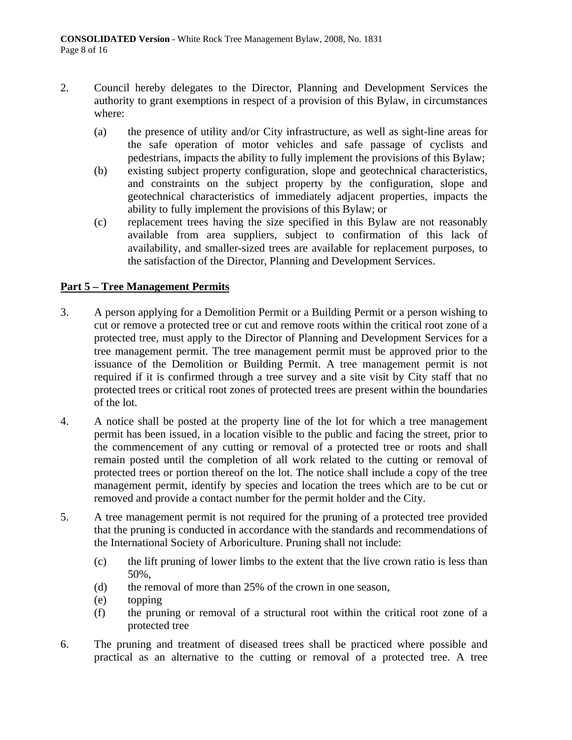- 2. Council hereby delegates to the Director, Planning and Development Services the authority to grant exemptions in respect of a provision of this Bylaw, in circumstances where:
	- (a) the presence of utility and/or City infrastructure, as well as sight-line areas for the safe operation of motor vehicles and safe passage of cyclists and pedestrians, impacts the ability to fully implement the provisions of this Bylaw;
	- (b) existing subject property configuration, slope and geotechnical characteristics, and constraints on the subject property by the configuration, slope and geotechnical characteristics of immediately adjacent properties, impacts the ability to fully implement the provisions of this Bylaw; or
	- (c) replacement trees having the size specified in this Bylaw are not reasonably available from area suppliers, subject to confirmation of this lack of availability, and smaller-sized trees are available for replacement purposes, to the satisfaction of the Director, Planning and Development Services.

# **Part 5 – Tree Management Permits**

- 3. A person applying for a Demolition Permit or a Building Permit or a person wishing to cut or remove a protected tree or cut and remove roots within the critical root zone of a protected tree, must apply to the Director of Planning and Development Services for a tree management permit. The tree management permit must be approved prior to the issuance of the Demolition or Building Permit. A tree management permit is not required if it is confirmed through a tree survey and a site visit by City staff that no protected trees or critical root zones of protected trees are present within the boundaries of the lot.
- 4. A notice shall be posted at the property line of the lot for which a tree management permit has been issued, in a location visible to the public and facing the street, prior to the commencement of any cutting or removal of a protected tree or roots and shall remain posted until the completion of all work related to the cutting or removal of protected trees or portion thereof on the lot. The notice shall include a copy of the tree management permit, identify by species and location the trees which are to be cut or removed and provide a contact number for the permit holder and the City.
- 5. A tree management permit is not required for the pruning of a protected tree provided that the pruning is conducted in accordance with the standards and recommendations of the International Society of Arboriculture. Pruning shall not include:
	- (c) the lift pruning of lower limbs to the extent that the live crown ratio is less than 50%,
	- (d) the removal of more than 25% of the crown in one season,
	- (e) topping
	- (f) the pruning or removal of a structural root within the critical root zone of a protected tree
- 6. The pruning and treatment of diseased trees shall be practiced where possible and practical as an alternative to the cutting or removal of a protected tree. A tree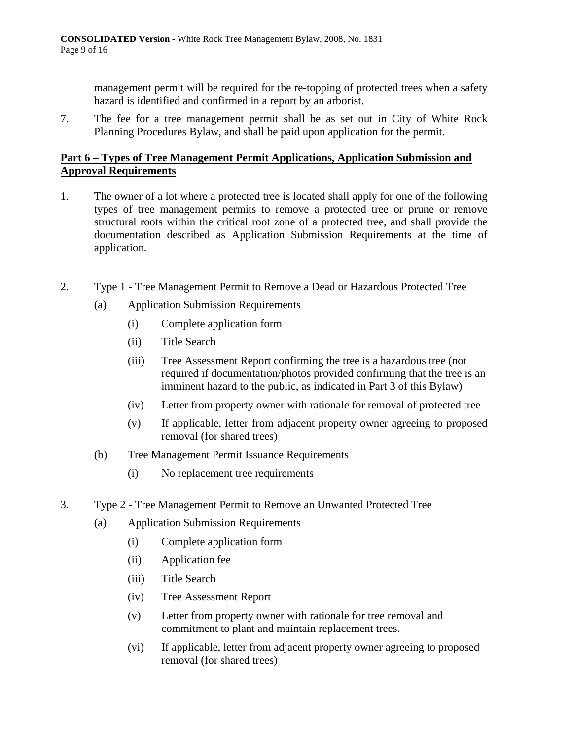management permit will be required for the re-topping of protected trees when a safety hazard is identified and confirmed in a report by an arborist.

7. The fee for a tree management permit shall be as set out in City of White Rock Planning Procedures Bylaw, and shall be paid upon application for the permit.

# **Part 6 – Types of Tree Management Permit Applications, Application Submission and Approval Requirements**

- 1. The owner of a lot where a protected tree is located shall apply for one of the following types of tree management permits to remove a protected tree or prune or remove structural roots within the critical root zone of a protected tree, and shall provide the documentation described as Application Submission Requirements at the time of application.
- 2. Type 1 Tree Management Permit to Remove a Dead or Hazardous Protected Tree
	- (a) Application Submission Requirements
		- (i) Complete application form
		- (ii) Title Search
		- (iii) Tree Assessment Report confirming the tree is a hazardous tree (not required if documentation/photos provided confirming that the tree is an imminent hazard to the public, as indicated in Part 3 of this Bylaw)
		- (iv) Letter from property owner with rationale for removal of protected tree
		- (v) If applicable, letter from adjacent property owner agreeing to proposed removal (for shared trees)
	- (b) Tree Management Permit Issuance Requirements
		- (i) No replacement tree requirements
- 3. Type 2 Tree Management Permit to Remove an Unwanted Protected Tree
	- (a) Application Submission Requirements
		- (i) Complete application form
		- (ii) Application fee
		- (iii) Title Search
		- (iv) Tree Assessment Report
		- (v) Letter from property owner with rationale for tree removal and commitment to plant and maintain replacement trees.
		- (vi) If applicable, letter from adjacent property owner agreeing to proposed removal (for shared trees)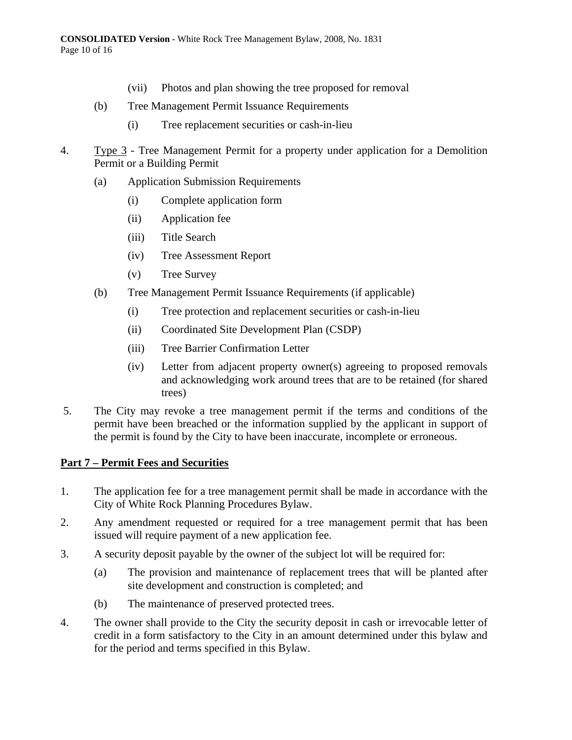- (vii) Photos and plan showing the tree proposed for removal
- (b) Tree Management Permit Issuance Requirements
	- (i) Tree replacement securities or cash-in-lieu
- 4. Type 3 Tree Management Permit for a property under application for a Demolition Permit or a Building Permit
	- (a) Application Submission Requirements
		- (i) Complete application form
		- (ii) Application fee
		- (iii) Title Search
		- (iv) Tree Assessment Report
		- (v) Tree Survey
	- (b) Tree Management Permit Issuance Requirements (if applicable)
		- (i) Tree protection and replacement securities or cash-in-lieu
		- (ii) Coordinated Site Development Plan (CSDP)
		- (iii) Tree Barrier Confirmation Letter
		- (iv) Letter from adjacent property owner(s) agreeing to proposed removals and acknowledging work around trees that are to be retained (for shared trees)
- 5. The City may revoke a tree management permit if the terms and conditions of the permit have been breached or the information supplied by the applicant in support of the permit is found by the City to have been inaccurate, incomplete or erroneous.

# **Part 7 – Permit Fees and Securities**

- 1. The application fee for a tree management permit shall be made in accordance with the City of White Rock Planning Procedures Bylaw.
- 2. Any amendment requested or required for a tree management permit that has been issued will require payment of a new application fee.
- 3. A security deposit payable by the owner of the subject lot will be required for:
	- (a) The provision and maintenance of replacement trees that will be planted after site development and construction is completed; and
	- (b) The maintenance of preserved protected trees.
- 4. The owner shall provide to the City the security deposit in cash or irrevocable letter of credit in a form satisfactory to the City in an amount determined under this bylaw and for the period and terms specified in this Bylaw.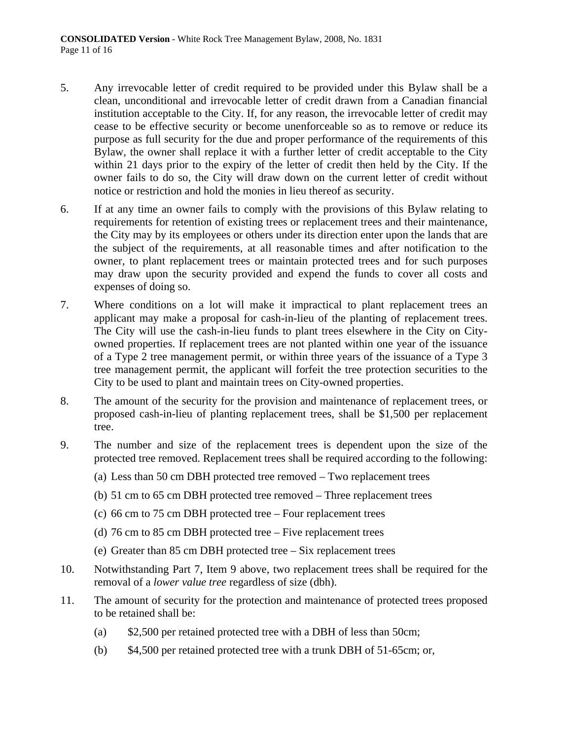- 5. Any irrevocable letter of credit required to be provided under this Bylaw shall be a clean, unconditional and irrevocable letter of credit drawn from a Canadian financial institution acceptable to the City. If, for any reason, the irrevocable letter of credit may cease to be effective security or become unenforceable so as to remove or reduce its purpose as full security for the due and proper performance of the requirements of this Bylaw, the owner shall replace it with a further letter of credit acceptable to the City within 21 days prior to the expiry of the letter of credit then held by the City. If the owner fails to do so, the City will draw down on the current letter of credit without notice or restriction and hold the monies in lieu thereof as security.
- 6. If at any time an owner fails to comply with the provisions of this Bylaw relating to requirements for retention of existing trees or replacement trees and their maintenance, the City may by its employees or others under its direction enter upon the lands that are the subject of the requirements, at all reasonable times and after notification to the owner, to plant replacement trees or maintain protected trees and for such purposes may draw upon the security provided and expend the funds to cover all costs and expenses of doing so.
- 7. Where conditions on a lot will make it impractical to plant replacement trees an applicant may make a proposal for cash-in-lieu of the planting of replacement trees. The City will use the cash-in-lieu funds to plant trees elsewhere in the City on Cityowned properties. If replacement trees are not planted within one year of the issuance of a Type 2 tree management permit, or within three years of the issuance of a Type 3 tree management permit, the applicant will forfeit the tree protection securities to the City to be used to plant and maintain trees on City-owned properties.
- 8. The amount of the security for the provision and maintenance of replacement trees, or proposed cash-in-lieu of planting replacement trees, shall be \$1,500 per replacement tree.
- 9. The number and size of the replacement trees is dependent upon the size of the protected tree removed. Replacement trees shall be required according to the following:
	- (a) Less than 50 cm DBH protected tree removed Two replacement trees
	- (b) 51 cm to 65 cm DBH protected tree removed Three replacement trees
	- (c) 66 cm to 75 cm DBH protected tree Four replacement trees
	- (d) 76 cm to 85 cm DBH protected tree Five replacement trees
	- (e) Greater than 85 cm DBH protected tree Six replacement trees
- 10. Notwithstanding Part 7, Item 9 above, two replacement trees shall be required for the removal of a *lower value tree* regardless of size (dbh).
- 11. The amount of security for the protection and maintenance of protected trees proposed to be retained shall be:
	- (a) \$2,500 per retained protected tree with a DBH of less than 50cm;
	- (b) \$4,500 per retained protected tree with a trunk DBH of 51-65cm; or,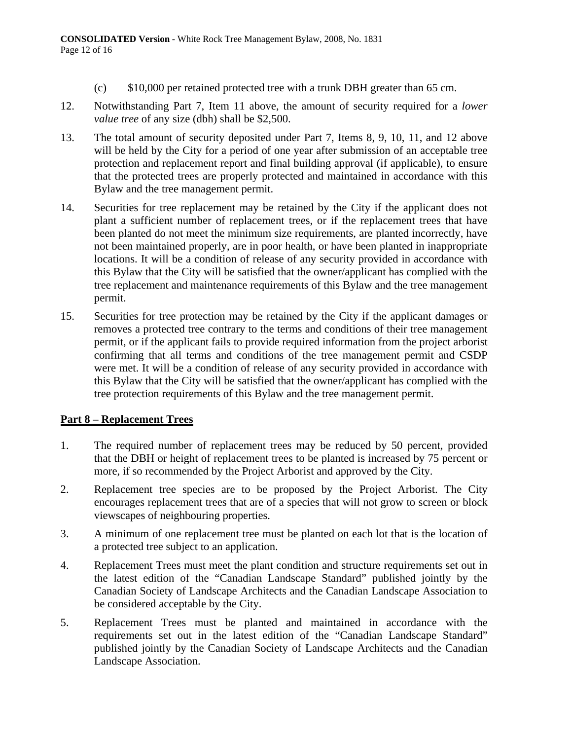- (c) \$10,000 per retained protected tree with a trunk DBH greater than 65 cm.
- 12. Notwithstanding Part 7, Item 11 above, the amount of security required for a *lower value tree* of any size (dbh) shall be \$2,500.
- 13. The total amount of security deposited under Part 7, Items 8, 9, 10, 11, and 12 above will be held by the City for a period of one year after submission of an acceptable tree protection and replacement report and final building approval (if applicable), to ensure that the protected trees are properly protected and maintained in accordance with this Bylaw and the tree management permit.
- 14. Securities for tree replacement may be retained by the City if the applicant does not plant a sufficient number of replacement trees, or if the replacement trees that have been planted do not meet the minimum size requirements, are planted incorrectly, have not been maintained properly, are in poor health, or have been planted in inappropriate locations. It will be a condition of release of any security provided in accordance with this Bylaw that the City will be satisfied that the owner/applicant has complied with the tree replacement and maintenance requirements of this Bylaw and the tree management permit.
- 15. Securities for tree protection may be retained by the City if the applicant damages or removes a protected tree contrary to the terms and conditions of their tree management permit, or if the applicant fails to provide required information from the project arborist confirming that all terms and conditions of the tree management permit and CSDP were met. It will be a condition of release of any security provided in accordance with this Bylaw that the City will be satisfied that the owner/applicant has complied with the tree protection requirements of this Bylaw and the tree management permit.

# **Part 8 – Replacement Trees**

- 1. The required number of replacement trees may be reduced by 50 percent, provided that the DBH or height of replacement trees to be planted is increased by 75 percent or more, if so recommended by the Project Arborist and approved by the City.
- 2. Replacement tree species are to be proposed by the Project Arborist. The City encourages replacement trees that are of a species that will not grow to screen or block viewscapes of neighbouring properties.
- 3. A minimum of one replacement tree must be planted on each lot that is the location of a protected tree subject to an application.
- 4. Replacement Trees must meet the plant condition and structure requirements set out in the latest edition of the "Canadian Landscape Standard" published jointly by the Canadian Society of Landscape Architects and the Canadian Landscape Association to be considered acceptable by the City.
- 5. Replacement Trees must be planted and maintained in accordance with the requirements set out in the latest edition of the "Canadian Landscape Standard" published jointly by the Canadian Society of Landscape Architects and the Canadian Landscape Association.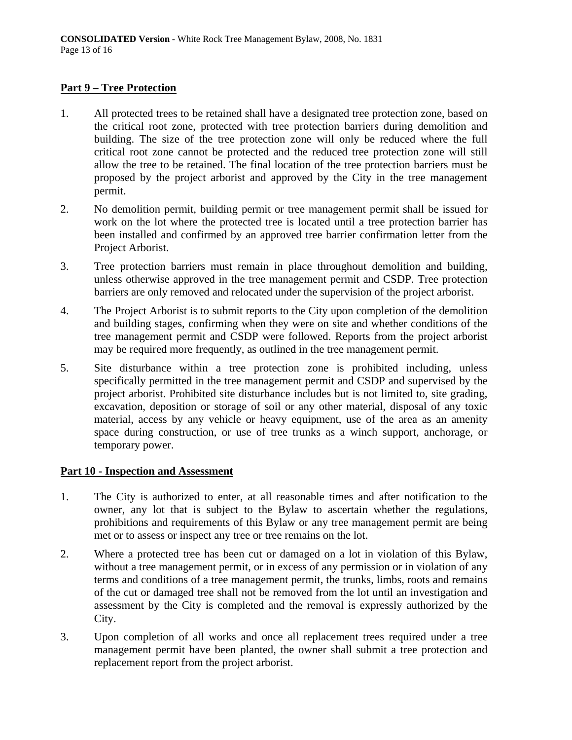# **Part 9 – Tree Protection**

- 1. All protected trees to be retained shall have a designated tree protection zone, based on the critical root zone, protected with tree protection barriers during demolition and building. The size of the tree protection zone will only be reduced where the full critical root zone cannot be protected and the reduced tree protection zone will still allow the tree to be retained. The final location of the tree protection barriers must be proposed by the project arborist and approved by the City in the tree management permit.
- 2. No demolition permit, building permit or tree management permit shall be issued for work on the lot where the protected tree is located until a tree protection barrier has been installed and confirmed by an approved tree barrier confirmation letter from the Project Arborist.
- 3. Tree protection barriers must remain in place throughout demolition and building, unless otherwise approved in the tree management permit and CSDP. Tree protection barriers are only removed and relocated under the supervision of the project arborist.
- 4. The Project Arborist is to submit reports to the City upon completion of the demolition and building stages, confirming when they were on site and whether conditions of the tree management permit and CSDP were followed. Reports from the project arborist may be required more frequently, as outlined in the tree management permit.
- 5. Site disturbance within a tree protection zone is prohibited including, unless specifically permitted in the tree management permit and CSDP and supervised by the project arborist. Prohibited site disturbance includes but is not limited to, site grading, excavation, deposition or storage of soil or any other material, disposal of any toxic material, access by any vehicle or heavy equipment, use of the area as an amenity space during construction, or use of tree trunks as a winch support, anchorage, or temporary power.

# **Part 10 - Inspection and Assessment**

- 1. The City is authorized to enter, at all reasonable times and after notification to the owner, any lot that is subject to the Bylaw to ascertain whether the regulations, prohibitions and requirements of this Bylaw or any tree management permit are being met or to assess or inspect any tree or tree remains on the lot.
- 2. Where a protected tree has been cut or damaged on a lot in violation of this Bylaw, without a tree management permit, or in excess of any permission or in violation of any terms and conditions of a tree management permit, the trunks, limbs, roots and remains of the cut or damaged tree shall not be removed from the lot until an investigation and assessment by the City is completed and the removal is expressly authorized by the City.
- 3. Upon completion of all works and once all replacement trees required under a tree management permit have been planted, the owner shall submit a tree protection and replacement report from the project arborist.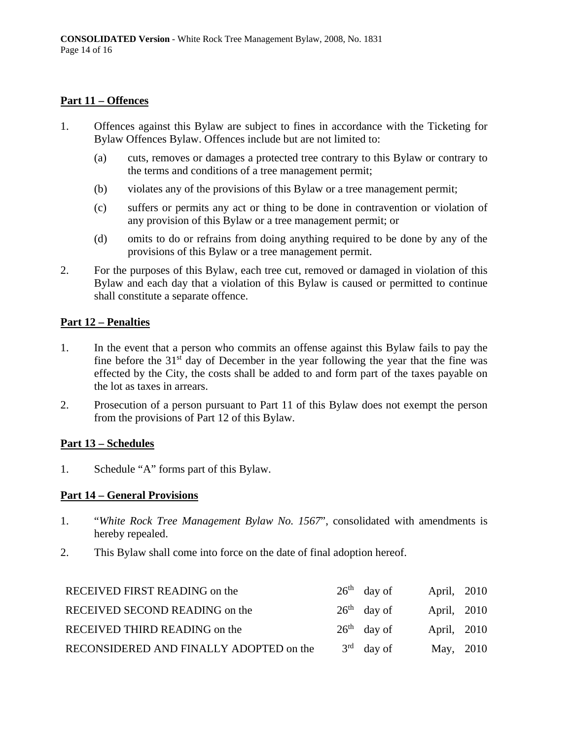# **Part 11 – Offences**

- 1. Offences against this Bylaw are subject to fines in accordance with the Ticketing for Bylaw Offences Bylaw. Offences include but are not limited to:
	- (a) cuts, removes or damages a protected tree contrary to this Bylaw or contrary to the terms and conditions of a tree management permit;
	- (b) violates any of the provisions of this Bylaw or a tree management permit;
	- (c) suffers or permits any act or thing to be done in contravention or violation of any provision of this Bylaw or a tree management permit; or
	- (d) omits to do or refrains from doing anything required to be done by any of the provisions of this Bylaw or a tree management permit.
- 2. For the purposes of this Bylaw, each tree cut, removed or damaged in violation of this Bylaw and each day that a violation of this Bylaw is caused or permitted to continue shall constitute a separate offence.

# **Part 12 – Penalties**

- 1. In the event that a person who commits an offense against this Bylaw fails to pay the fine before the  $31<sup>st</sup>$  day of December in the year following the year that the fine was effected by the City, the costs shall be added to and form part of the taxes payable on the lot as taxes in arrears.
- 2. Prosecution of a person pursuant to Part 11 of this Bylaw does not exempt the person from the provisions of Part 12 of this Bylaw.

# **Part 13 – Schedules**

1. Schedule "A" forms part of this Bylaw.

# **Part 14 – General Provisions**

- 1. "*White Rock Tree Management Bylaw No. 1567*", consolidated with amendments is hereby repealed.
- 2. This Bylaw shall come into force on the date of final adoption hereof.

| RECEIVED FIRST READING on the           | $26th$ day of | April, 2010 |  |
|-----------------------------------------|---------------|-------------|--|
| RECEIVED SECOND READING on the          | $26th$ day of | April, 2010 |  |
| RECEIVED THIRD READING on the           | $26th$ day of | April, 2010 |  |
| RECONSIDERED AND FINALLY ADOPTED on the | $3rd$ day of  | May, 2010   |  |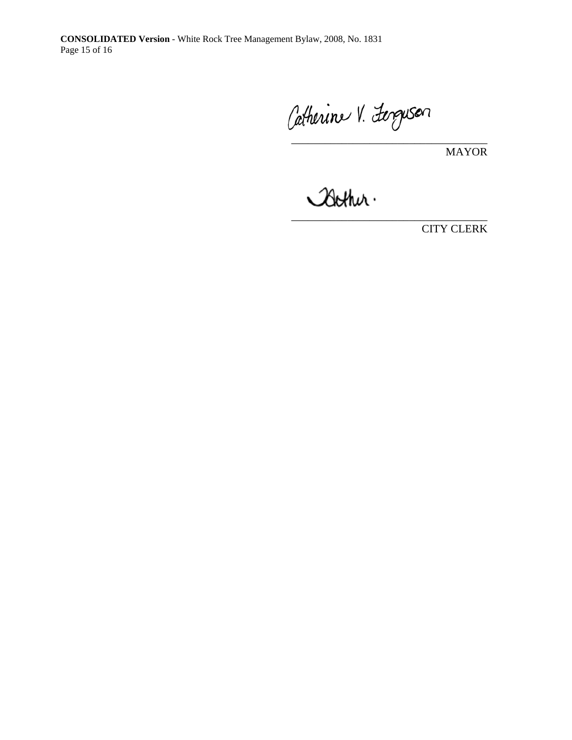Catherine V. Ferguson

MAYOR

 $\frac{1}{2}$ 

CITY CLERK